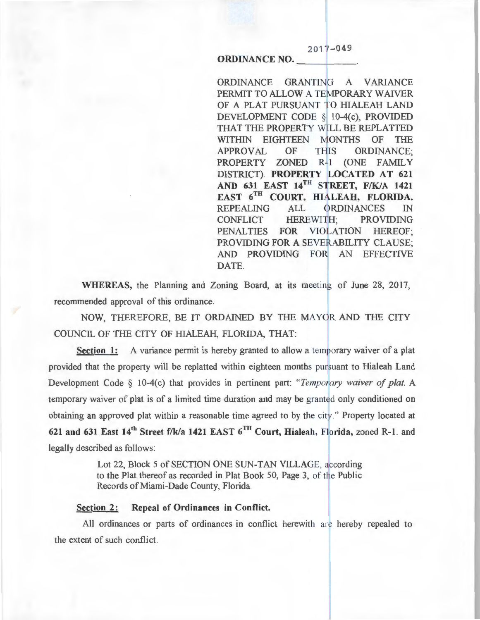# ORDINANCE NO.

ORDINANCE GRANTING A VARIANCE PERMIT TO ALLOW A TEMPORARY WAIVER OF A PLAT PURSUANT TO HIALEAH LAND DEVELOPMENT CODE § 10-4(c), PROVIDED THAT THE PROPERTY WILL BE REPLATTED WITHIN EIGHTEEN MONTHS OF THE APPROVAL OF THIS ORDINANCE; PROPERTY ZONED R-1 (ONE FAMILY DISTRICT). PROPERTY LOCATED AT 621 AND 631 EAST  $14^{TH}$  STREET, F/K/A 1421 EAST 6TH COURT, HIALEAH, FLORIDA. REPEALING ALL ORDINANCES IN CONFLICT HEREWITH; PROVIDING PENALTIES FOR VIOLATION HEREOF; PROVIDING FOR A SEVERABILITY CLAUSE; AND PROVIDING FOR AN EFFECTIVE DATE.

 $2017 - 049$ 

WHEREAS, the Planning and Zoning Board, at its meeting of June 28, 2017, recommended approval of this ordinance.

NOW, THEREFORE, BE IT ORDAINED BY THE MAYOR AND THE CITY COUNCIL OF THE CITY OF HIALEAH, FLORIDA, THAT:

Section 1: A variance permit is hereby granted to allow a temporary waiver of a plat provided that the property will be replatted within eighteen months pursuant to Hialeah Land Development Code § 10-4(c) that provides in pertinent part: *"Temporaty waiver of plat.* A temporary waiver of plat is of a limited time duration and may be granted only conditioned on obtaining an approved plat within a reasonable time agreed to by the city." Property located at 621 and 631 East  $14<sup>th</sup>$  Street f/k/a 1421 EAST  $6<sup>TH</sup>$  Court, Hialeah, Florida, zoned R-1. and legally described as follows:

> Lot 22, Block 5 of SECTION ONE SUN-TAN VILLAGE, according to the Plat thereof as recorded in Plat Book 50, Page 3, of the Public Records of Miami-Dade County, Florida.

### Section 2: Repeal of Ordinances in Conflict.

All ordinances or parts of ordinances in conflict herewith are hereby repealed to the extent of such conflict.